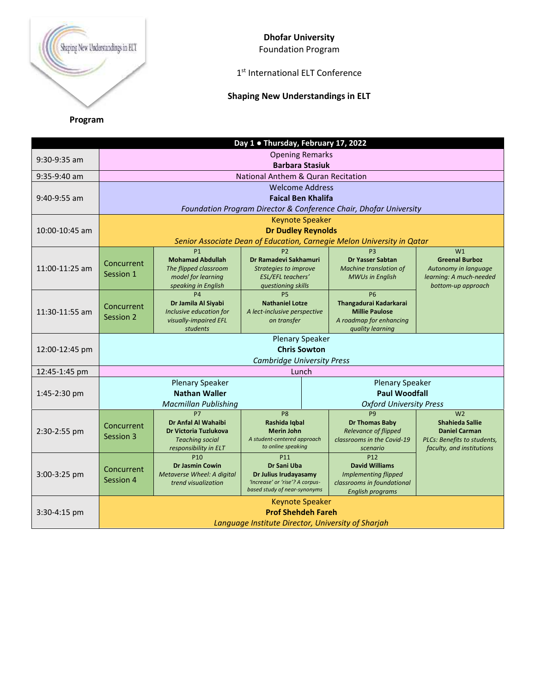

## **Dhofar University**

Foundation Program

## 1 st International ELT Conference

## **Shaping New Understandings in ELT**

**Program**

|                |                                                                        |                                                                                                                         | Day 1 . Thursday, February 17, 2022                                                                                               |                                |                                                                                                                                  |                                                                                                                  |  |  |  |
|----------------|------------------------------------------------------------------------|-------------------------------------------------------------------------------------------------------------------------|-----------------------------------------------------------------------------------------------------------------------------------|--------------------------------|----------------------------------------------------------------------------------------------------------------------------------|------------------------------------------------------------------------------------------------------------------|--|--|--|
| $9:30-9:35$ am | <b>Opening Remarks</b>                                                 |                                                                                                                         |                                                                                                                                   |                                |                                                                                                                                  |                                                                                                                  |  |  |  |
|                | <b>Barbara Stasiuk</b>                                                 |                                                                                                                         |                                                                                                                                   |                                |                                                                                                                                  |                                                                                                                  |  |  |  |
| $9:35-9:40$ am |                                                                        |                                                                                                                         | National Anthem & Quran Recitation                                                                                                |                                |                                                                                                                                  |                                                                                                                  |  |  |  |
|                | <b>Welcome Address</b>                                                 |                                                                                                                         |                                                                                                                                   |                                |                                                                                                                                  |                                                                                                                  |  |  |  |
| 9:40-9:55 am   | <b>Faical Ben Khalifa</b>                                              |                                                                                                                         |                                                                                                                                   |                                |                                                                                                                                  |                                                                                                                  |  |  |  |
|                | Foundation Program Director & Conference Chair, Dhofar University      |                                                                                                                         |                                                                                                                                   |                                |                                                                                                                                  |                                                                                                                  |  |  |  |
| 10:00-10:45 am | <b>Keynote Speaker</b>                                                 |                                                                                                                         |                                                                                                                                   |                                |                                                                                                                                  |                                                                                                                  |  |  |  |
|                | <b>Dr Dudley Reynolds</b>                                              |                                                                                                                         |                                                                                                                                   |                                |                                                                                                                                  |                                                                                                                  |  |  |  |
|                | Senior Associate Dean of Education, Carnegie Melon University in Qatar |                                                                                                                         |                                                                                                                                   |                                |                                                                                                                                  |                                                                                                                  |  |  |  |
| 11:00-11:25 am | Concurrent<br>Session 1                                                | <b>P1</b><br><b>Mohamad Abdullah</b><br>The flipped classroom<br>model for learning<br>speaking in English              | P <sub>2</sub><br>Dr Ramadevi Sakhamuri<br>Strategies to improve<br><b>ESL/EFL teachers'</b><br>questioning skills                |                                | P <sub>3</sub><br>Dr Yasser Sabtan<br>Machine translation of<br><b>MWUs in English</b>                                           | W <sub>1</sub><br><b>Greenal Burboz</b><br>Autonomy in language<br>learning: A much-needed<br>bottom-up approach |  |  |  |
| 11:30-11:55 am | Concurrent<br>Session 2                                                | <b>P4</b><br>Dr Jamila Al Siyabi<br>Inclusive education for<br>visually-impaired EFL<br>students                        | <b>P5</b><br><b>Nathaniel Lotze</b><br>A lect-inclusive perspective<br>on transfer                                                |                                | <b>P6</b><br>Thangadurai Kadarkarai<br><b>Millie Paulose</b><br>A roadmap for enhancing<br>quality learning                      |                                                                                                                  |  |  |  |
| 12:00-12:45 pm | <b>Plenary Speaker</b>                                                 |                                                                                                                         |                                                                                                                                   |                                |                                                                                                                                  |                                                                                                                  |  |  |  |
|                | <b>Chris Sowton</b>                                                    |                                                                                                                         |                                                                                                                                   |                                |                                                                                                                                  |                                                                                                                  |  |  |  |
|                | <b>Cambridge University Press</b>                                      |                                                                                                                         |                                                                                                                                   |                                |                                                                                                                                  |                                                                                                                  |  |  |  |
| 12:45-1:45 pm  | Lunch                                                                  |                                                                                                                         |                                                                                                                                   |                                |                                                                                                                                  |                                                                                                                  |  |  |  |
|                | <b>Plenary Speaker</b><br><b>Plenary Speaker</b>                       |                                                                                                                         |                                                                                                                                   |                                |                                                                                                                                  |                                                                                                                  |  |  |  |
| 1:45-2:30 pm   | <b>Nathan Waller</b>                                                   |                                                                                                                         |                                                                                                                                   | <b>Paul Woodfall</b>           |                                                                                                                                  |                                                                                                                  |  |  |  |
|                | <b>Macmillan Publishing</b>                                            |                                                                                                                         |                                                                                                                                   | <b>Oxford University Press</b> |                                                                                                                                  |                                                                                                                  |  |  |  |
| 2:30-2:55 pm   | Concurrent<br>Session 3                                                | P7<br>Dr Anfal Al Wahaibi<br>Dr Victoria Tuzlukova<br><b>Teaching social</b>                                            | P <sub>8</sub><br>Rashida Iqbal<br><b>Merin John</b><br>A student-centered approach                                               |                                | P <sub>9</sub><br><b>Dr Thomas Baby</b><br><b>Relevance of flipped</b><br>classrooms in the Covid-19                             | W <sub>2</sub><br><b>Shahieda Sallie</b><br><b>Daniel Carman</b><br>PLCs: Benefits to students,                  |  |  |  |
|                |                                                                        |                                                                                                                         | to online speaking                                                                                                                |                                | scenario                                                                                                                         | faculty, and institutions                                                                                        |  |  |  |
| 3:00-3:25 pm   | Concurrent<br>Session 4                                                | responsibility in ELT<br>P <sub>10</sub><br><b>Dr Jasmin Cowin</b><br>Metaverse Wheel: A digital<br>trend visualization | P <sub>11</sub><br><b>Dr Sani Uba</b><br>Dr Julius Irudayasamy<br>'Increase' or 'rise'? A corpus-<br>based study of near-synonyms |                                | P <sub>12</sub><br><b>David Williams</b><br><b>Implementing flipped</b><br>classrooms in foundational<br><b>English programs</b> |                                                                                                                  |  |  |  |
|                |                                                                        |                                                                                                                         | <b>Keynote Speaker</b>                                                                                                            |                                |                                                                                                                                  |                                                                                                                  |  |  |  |
| 3:30-4:15 pm   |                                                                        |                                                                                                                         | <b>Prof Shehdeh Fareh</b>                                                                                                         |                                |                                                                                                                                  |                                                                                                                  |  |  |  |